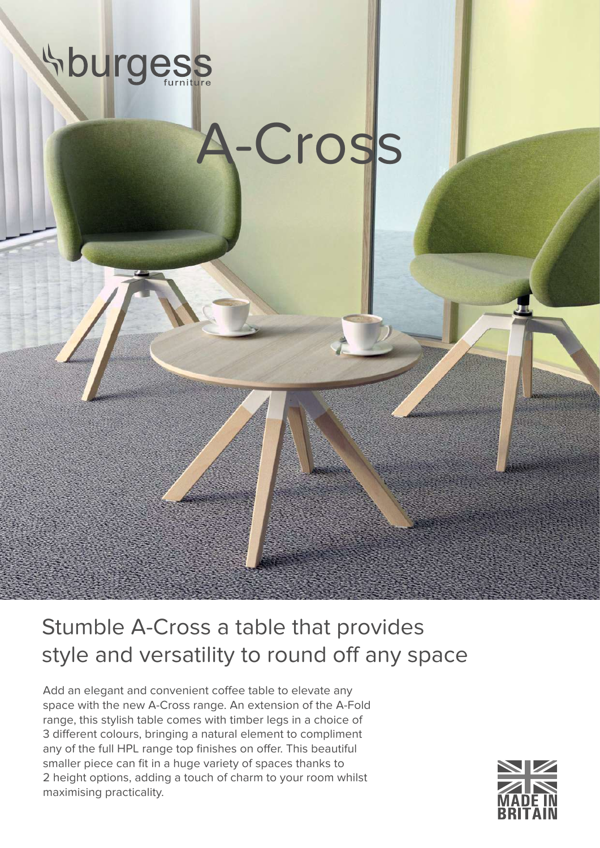## **Surgess**

## -Cross

Stumble A-Cross a table that provides style and versatility to round off any space

Add an elegant and convenient coffee table to elevate any space with the new A-Cross range. An extension of the A-Fold range, this stylish table comes with timber legs in a choice of 3 different colours, bringing a natural element to compliment any of the full HPL range top finishes on offer. This beautiful smaller piece can fit in a huge variety of spaces thanks to 2 height options, adding a touch of charm to your room whilst maximising practicality.